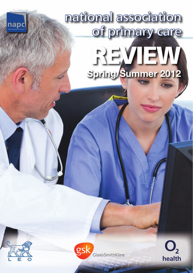# national association of primary care **Spring/Summer 2012**



napc



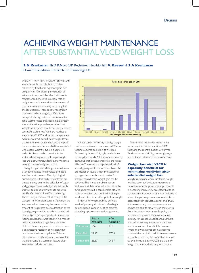# ACHIEVING WEIGHT MAINTENANCE AFTER SUBSTANTIAL VLCD WEIGHT LOSS

**S.N Kreitzman** Ph.D, R.Nutr. (UK Registered Nutritionist), **V. Beeson** & **S.A Kreitzman** Howard Foundation Research Ltd. Cambridge UK

Weight maintenance after weight loss is perfectly possible, but not often achieved by traditional hypoenergetic diet programmes. Considering the paucity of evidence to support the idea that there is maintenance benefit from a slow rate of weight loss and the considerable amount of contrary evidence, it is very surprising that this idea persists. There is now recognition that even bariatric surgery suffers from unexpectedly high rates of recidivism after initial weight losses; this should have already altered the widespread expectation that weight maintenance should necessarily follow successful weight loss. We have reached a stage where VLCD and bariatric surgery are available to produce sufficient weight losses to promote medical benefits. At the top of the extensive list of co-morbidities associated with excess weight is type 2 diabetes. In order for these medical benefits to be sustained as long as possible, rapid weight loss and a structured, effective, maintenance programme are vitally important.

Weight regain after dieting can result from a variety of causes. The simplest of these is also the most common. The physiological principle here is that early weight losses are almost entirely due to the utilization of sugar and glycogen. These carbohydrate fuels with their associated bound water are regained quickly after restoration of normal eating, There is only a minimal actual change in fat storage – only small amounts of fat weight are lost, even when there may be a reasonable amount of weight loss due to depletion of the stored glycogen and its associated water. Lack of attention to an appropriate, structured, refeeding can lead to carbo-loading, in a manner similar to the effect sought by endurance athletes. The consequence to a dieter, however is an excessive repletion of glycogen with its substantial rebound hydration. This can often produce weight regain in excess of the weight lost, and is a common feature after intermittent calorie restriction.



With a correct refeeding strategy, weight maintenance is much more assured. 'Carbo' loading' requires depletion of glycogen followed by intake of high glycaemic index carbohydrate foods. Athletes often consume pasta, but fruit, bread, cereals etc. are just as effective. The result is a rapid overload of stored glycogen, often more than twice the pre-depletion levels. When the additional glycogen becomes bound to water for storage, considerable weight gain can be achieved. This is not a problem for an endurance athlete who will soon utilize the extra glycogen, but a considerable blow to a dieter who has just sustained prolonged food restriction in an attempt to lose weight.

Evidence for weight stability during a week of properly structured refeeding is demonstrated from an audit of patients attending a pharmacy based programme.

|                   | <b>Before</b><br>Refeeding | Afrer<br>Refeeding |
|-------------------|----------------------------|--------------------|
| Valid cases       | 146                        | 146                |
| Mean BMI          | 2745                       | 27.39              |
| <b>Median BMI</b> | 26.63                      | 26.57              |

While there are indeed some minor variations in individual stability of BMI following the re-introduction of normal foods and re-establishing normal glycogen stores, these differences are usually trivial.

### **Weight loss with VLCD is especially beneficial for minimizing recidivism after substantial weight loss**

Weight recidivism, when substantial weight loss has been achieved, can represent a more fundamental physiological problem. It is becoming increasingly accepted that food can become a substance of abuse, and that it shares the pathways common to addictions associated with tobacco, alcohol and drugs. It is an extremely rare occurrence when addicts are able to slowly wean themselves from the abused substance. Stopping the substance of abuse is the most effective strategy for almost all addictions, but there are serious consequences associated with a total cessation of food intake. In cases where the weight problem has become substantial enough that addictive mechanisms are likely, a case may be made that very low calorie formula diets (VLCD) are the only weight loss method with any real chance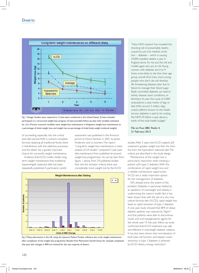

Fig. 1 Design: Studies were required to 1) have been conducted in the United States, 2) have included participants in a structured weight-loss program, 3) have provided follow-up data with variables estimates for �2 y. Primary outcome variables were weight-loss maintenance in kilograms, weight-loss maintenance as a percentage of initial weight loss, and weight loss as percentage of initial body weight (reduced weight).

of succeeding, especially into the critical post-diet period. With a nutrient complete formula replacing all traditional foods, there is interference with the addictive processes and the dieter has a greatly improved chance for successful weight maintenance.

Evidence that VLCD confers better long term weight maintenance than traditional hypoenergetic balanced diets has been repeatedly published. A particularly careful

assessment was published in the *American Journal of Clinical Nutrition* in 2001 by James Anderson and co-workers. The report "Long-term weight-loss maintenance: a metaanalysis of US studies" compared 5 year post diet maintenance from published structured weight loss programmes.<sup>1</sup> As can be seen from figure 1. above, from 29 published studies that met the inclusion criteria, there was considerably more weight lost by the VLCD





"New NHS research has revealed the shocking toll of preventable deaths caused by just one medical condition – diabetes – which is causing 24,000 needless deaths a year in England alone. It's not just the old and middle-aged who are at risk. Young women with diabetes are 6 to 9 times more likely to die than their age group overall. And many more young people who don't die will develop life threatening diseases later due to failure to manage their blood sugar. Badly controlled diabetes can lead to kidney disease, heart conditions, or blindness. It's also the cause of 5,000 amputations a year, mainly of legs or feet. With around 3 million diagnosed sufferers known to the health service, diabetes is said to be costing the NHS £9 billion a year, about a tenth of the total health budget."

#### File on Four. BBC Radio 4, 21 February 2012

studies. After 5 years, the VLCD subjects still sustained a greater weight loss than *the initial loss* from the hypocaloric balanced diet. The criteria are described in the study design.

Maintenance of the weight lost is particularly important when treating a patient with type 2 diabetes. With the combination of rapid weight loss and a reliable maintenance opportunity, VLCD are a vitally important option for the management of diabetes.

GPs already know the extent of the problem. Diabetes in particular, fuelled by an epidemic of overweight and obesity, is undermining the nation's health. But it has been shown that with the aid of a very low calorie formula diet (VLCD), rapid weight loss leads to rapid remission of type 2 diabetes. A one-year study showed that BMI of obese diabetic patients was reduced by 5kg/m2 and that patients were able to discontinue insulin and oral hypoglycaemic agents for the whole year.<sup>2</sup> A five-year follow-up study confirmed that VLCD treatment was safe and effective in overweight diabetic subjects. It has also been shown that normalisation of both beta cell function and hepatic insulin sensitivity in type 2 diabetes is achieved by VLCD dietary energy restriction.<sup>3</sup>